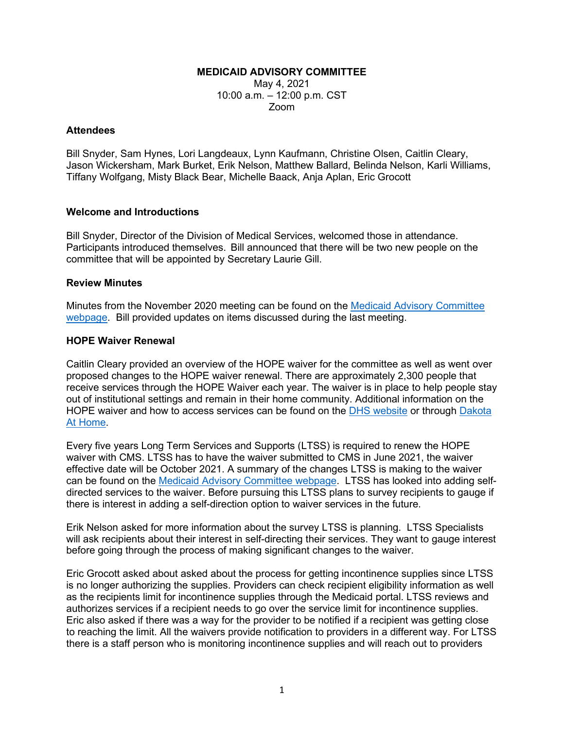### **MEDICAID ADVISORY COMMITTEE**

May 4, 2021 10:00 a.m. – 12:00 p.m. CST Zoom

#### **Attendees**

Bill Snyder, Sam Hynes, Lori Langdeaux, Lynn Kaufmann, Christine Olsen, Caitlin Cleary, Jason Wickersham, Mark Burket, Erik Nelson, Matthew Ballard, Belinda Nelson, Karli Williams, Tiffany Wolfgang, Misty Black Bear, Michelle Baack, Anja Aplan, Eric Grocott

### **Welcome and Introductions**

Bill Snyder, Director of the Division of Medical Services, welcomed those in attendance. Participants introduced themselves. Bill announced that there will be two new people on the committee that will be appointed by Secretary Laurie Gill.

#### **Review Minutes**

Minutes from the November 2020 meeting can be found on the [Medicaid Advisory Committee](https://dss.sd.gov/medicaid/mac.aspx)  [webpage.](https://dss.sd.gov/medicaid/mac.aspx) Bill provided updates on items discussed during the last meeting.

#### **HOPE Waiver Renewal**

Caitlin Cleary provided an overview of the HOPE waiver for the committee as well as went over proposed changes to the HOPE waiver renewal. There are approximately 2,300 people that receive services through the HOPE Waiver each year. The waiver is in place to help people stay out of institutional settings and remain in their home community. Additional information on the HOPE waiver and how to access services can be found on the [DHS website](https://dhs.sd.gov/LTSS/default.aspx) or through [Dakota](https://dakotaathome.org/)  [At Home.](https://dakotaathome.org/)

Every five years Long Term Services and Supports (LTSS) is required to renew the HOPE waiver with CMS. LTSS has to have the waiver submitted to CMS in June 2021, the waiver effective date will be October 2021. A summary of the changes LTSS is making to the waiver can be found on the [Medicaid Advisory Committee webpage.](https://dss.sd.gov/medicaid/mac.aspx) LTSS has looked into adding selfdirected services to the waiver. Before pursuing this LTSS plans to survey recipients to gauge if there is interest in adding a self-direction option to waiver services in the future.

Erik Nelson asked for more information about the survey LTSS is planning. LTSS Specialists will ask recipients about their interest in self-directing their services. They want to gauge interest before going through the process of making significant changes to the waiver.

Eric Grocott asked about asked about the process for getting incontinence supplies since LTSS is no longer authorizing the supplies. Providers can check recipient eligibility information as well as the recipients limit for incontinence supplies through the Medicaid portal. LTSS reviews and authorizes services if a recipient needs to go over the service limit for incontinence supplies. Eric also asked if there was a way for the provider to be notified if a recipient was getting close to reaching the limit. All the waivers provide notification to providers in a different way. For LTSS there is a staff person who is monitoring incontinence supplies and will reach out to providers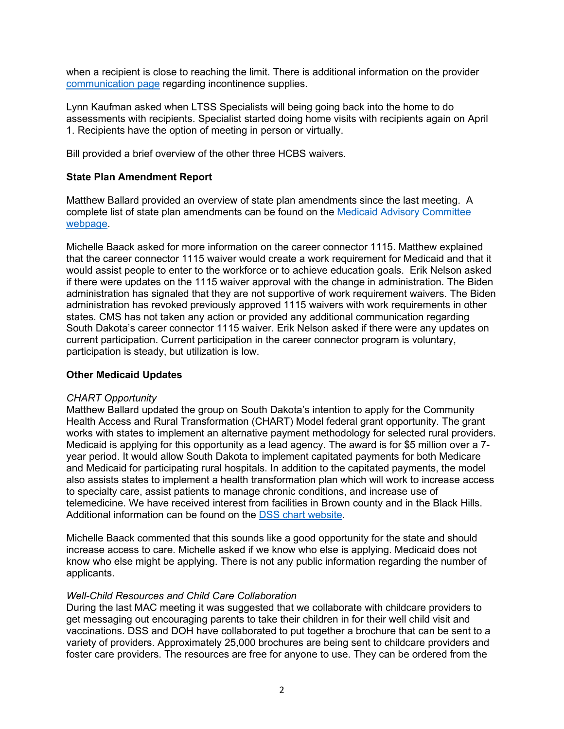when a recipient is close to reaching the limit. There is additional information on the provider [communication page](https://dss.sd.gov/medicaid/providers/communication.aspx) regarding incontinence supplies.

Lynn Kaufman asked when LTSS Specialists will being going back into the home to do assessments with recipients. Specialist started doing home visits with recipients again on April 1. Recipients have the option of meeting in person or virtually.

Bill provided a brief overview of the other three HCBS waivers.

# **State Plan Amendment Report**

Matthew Ballard provided an overview of state plan amendments since the last meeting. A complete list of state plan amendments can be found on the [Medicaid Advisory Committee](https://dss.sd.gov/medicaid/mac.aspx)  [webpage.](https://dss.sd.gov/medicaid/mac.aspx)

Michelle Baack asked for more information on the career connector 1115. Matthew explained that the career connector 1115 waiver would create a work requirement for Medicaid and that it would assist people to enter to the workforce or to achieve education goals. Erik Nelson asked if there were updates on the 1115 waiver approval with the change in administration. The Biden administration has signaled that they are not supportive of work requirement waivers. The Biden administration has revoked previously approved 1115 waivers with work requirements in other states. CMS has not taken any action or provided any additional communication regarding South Dakota's career connector 1115 waiver. Erik Nelson asked if there were any updates on current participation. Current participation in the career connector program is voluntary, participation is steady, but utilization is low.

### **Other Medicaid Updates**

### *CHART Opportunity*

Matthew Ballard updated the group on South Dakota's intention to apply for the Community Health Access and Rural Transformation (CHART) Model federal grant opportunity. The grant works with states to implement an alternative payment methodology for selected rural providers. Medicaid is applying for this opportunity as a lead agency. The award is for \$5 million over a 7 year period. It would allow South Dakota to implement capitated payments for both Medicare and Medicaid for participating rural hospitals. In addition to the capitated payments, the model also assists states to implement a health transformation plan which will work to increase access to specialty care, assist patients to manage chronic conditions, and increase use of telemedicine. We have received interest from facilities in Brown county and in the Black Hills. Additional information can be found on the **DSS** chart website.

Michelle Baack commented that this sounds like a good opportunity for the state and should increase access to care. Michelle asked if we know who else is applying. Medicaid does not know who else might be applying. There is not any public information regarding the number of applicants.

### *Well-Child Resources and Child Care Collaboration*

During the last MAC meeting it was suggested that we collaborate with childcare providers to get messaging out encouraging parents to take their children in for their well child visit and vaccinations. DSS and DOH have collaborated to put together a brochure that can be sent to a variety of providers. Approximately 25,000 brochures are being sent to childcare providers and foster care providers. The resources are free for anyone to use. They can be ordered from the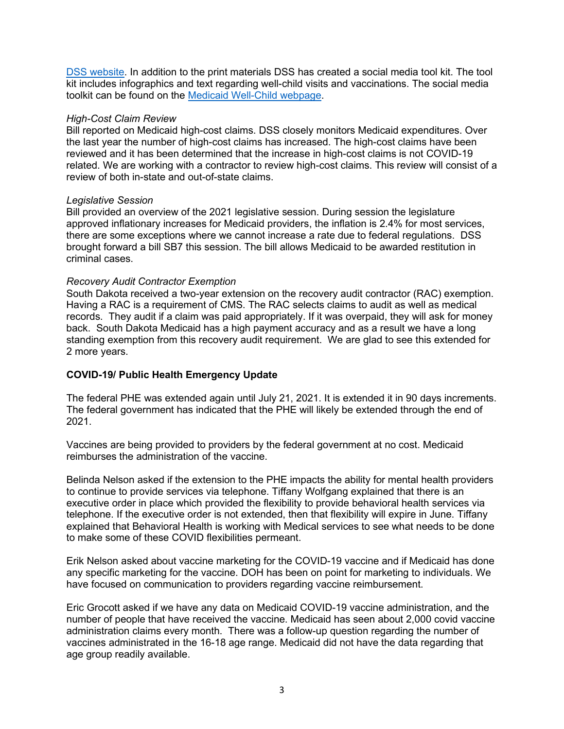[DSS website.](https://dss.sd.gov/formsandpubs/) In addition to the print materials DSS has created a social media tool kit. The tool kit includes infographics and text regarding well-child visits and vaccinations. The social media toolkit can be found on the [Medicaid Well-Child webpage.](https://dss.sd.gov/medicaid/recipients/recipientprograms/wellvisit_socialmediatoolkit.aspx)

## *High-Cost Claim Review*

Bill reported on Medicaid high-cost claims. DSS closely monitors Medicaid expenditures. Over the last year the number of high-cost claims has increased. The high-cost claims have been reviewed and it has been determined that the increase in high-cost claims is not COVID-19 related. We are working with a contractor to review high-cost claims. This review will consist of a review of both in-state and out-of-state claims.

## *Legislative Session*

Bill provided an overview of the 2021 legislative session. During session the legislature approved inflationary increases for Medicaid providers, the inflation is 2.4% for most services, there are some exceptions where we cannot increase a rate due to federal regulations. DSS brought forward a bill SB7 this session. The bill allows Medicaid to be awarded restitution in criminal cases.

## *Recovery Audit Contractor Exemption*

South Dakota received a two-year extension on the recovery audit contractor (RAC) exemption. Having a RAC is a requirement of CMS. The RAC selects claims to audit as well as medical records. They audit if a claim was paid appropriately. If it was overpaid, they will ask for money back. South Dakota Medicaid has a high payment accuracy and as a result we have a long standing exemption from this recovery audit requirement. We are glad to see this extended for 2 more years.

# **COVID-19/ Public Health Emergency Update**

The federal PHE was extended again until July 21, 2021. It is extended it in 90 days increments. The federal government has indicated that the PHE will likely be extended through the end of 2021.

Vaccines are being provided to providers by the federal government at no cost. Medicaid reimburses the administration of the vaccine.

Belinda Nelson asked if the extension to the PHE impacts the ability for mental health providers to continue to provide services via telephone. Tiffany Wolfgang explained that there is an executive order in place which provided the flexibility to provide behavioral health services via telephone. If the executive order is not extended, then that flexibility will expire in June. Tiffany explained that Behavioral Health is working with Medical services to see what needs to be done to make some of these COVID flexibilities permeant.

Erik Nelson asked about vaccine marketing for the COVID-19 vaccine and if Medicaid has done any specific marketing for the vaccine. DOH has been on point for marketing to individuals. We have focused on communication to providers regarding vaccine reimbursement.

Eric Grocott asked if we have any data on Medicaid COVID-19 vaccine administration, and the number of people that have received the vaccine. Medicaid has seen about 2,000 covid vaccine administration claims every month. There was a follow-up question regarding the number of vaccines administrated in the 16-18 age range. Medicaid did not have the data regarding that age group readily available.